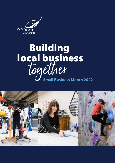

# **Small Business Month 2022 Building** local business together

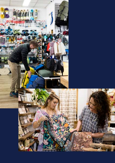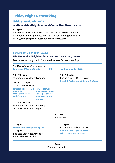### Friday Night Networking

### Friday, 25 March, 2022

#### **Mid Mountains Neighbourhood Centre, New Street, Lawson**

#### **6 – 8pm**

Panel of Local Business owners and Q&A followed by networking. Light refreshments provided. Please RSVP for catering purposes to **<https://fridaynightbusinessnetworking.floktu.com>**.

### Saturday, 26 March, 2022

#### **Mid Mountains Neighbourhood Centre, New Street, Lawson**

Free workshop program 9 - 3pm plus Business Development Expo

| 9 - 10am Choice of two workshops<br><b>Finding and Writing Grants</b><br><b>OR</b>                                        |                                                                        | <b>Getting ahead in 2022</b>                |
|---------------------------------------------------------------------------------------------------------------------------|------------------------------------------------------------------------|---------------------------------------------|
| $10 - 10.15$ am                                                                                                           |                                                                        | 10-12noon                                   |
| 15 minute break for networking                                                                                            |                                                                        | BusinessBM and C2c session                  |
| 10.15 - 11.15am<br>Choice of two workshops                                                                                |                                                                        | <b>Rebuild, Recharge and Renew: Do Tank</b> |
| <b>Simple Social</b><br><b>OR</b> How to attract<br><b>Media for</b><br><b>Small Businesses</b><br>and Creators<br>market | your best customers:<br><b>Strategies to zero</b><br>in on your target |                                             |
| 11.15 - 12noon<br>45 minute break for networking<br>and Business Support Expo                                             |                                                                        |                                             |

 **12 – 1pm**  LUNCH (catered)

### **1 – 2pm 1 – 3pm**

**2 – 3pm**  Business Expo / networking / informal breakout chats

**Introduction to Negotiating Skills** BusinessBM and C2c session **Rebuild, Recharge and Renew: What is Business tourism?**

#### **3pm** Program concludes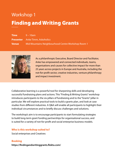# Workshop 1 Finding and Writing Grants

| <b>Time</b>  | $9 - 10$ am                                        |
|--------------|----------------------------------------------------|
|              | <b>Presenter</b> Anke Timm, Askoholics             |
| <b>Venue</b> | Mid Mountains Neighbourhood Centre Workshop Room 1 |



As a philanthropic Executive, Board Director and Facilitator, Anke has empowered and connected individuals, teams, organisations and causes for collective impact for more than 25 years across projects in Europe and Australia, including the not-for-profit sector, creative industries, venture philanthropy and impact investment.

Collaborative learning is a powerful tool for sharpening skills and developing successful fundraising plans and actions. This "Finding & Writing Grants" workshop introduces participants to the six pillars of fundraising and to the "Grants" pillar in particular. We will explore practical tools to build a grants plan, and look at case studies from different industries. A Q&A will enable all participants to highlight their individual circumstances and to briefly discuss challenges and solutions.

The workshop's aim is to encourage participants to start formulating strategies to build long-term grant funding partnerships for organisational success, and is suited for a variety of not-for-profit and social enterprise business models.

### **Who is this workshop suited to?** Social enterprises and Creatives

**Booking <https://findingandwritinggrants.floktu.com/>**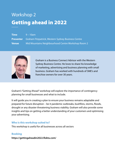# Workshop 2 Getting ahead in 2022

| <b>Time</b>      | $9 - 10$ am                                               |
|------------------|-----------------------------------------------------------|
| <b>Presenter</b> | <b>Graham Fitzpatrick, Western Sydney Business Centre</b> |
| <b>Venue</b>     | Mid Mountains Neighbourhood Centre Workshop Room 2        |



Graham is a Business Connect Advisor with the Western Sydney Business Centre. He loves to share his knowledge of marketing, advertising and business planning with small business. Graham has worked with hundreds of SME's and franchise owners for over 30 years.

Graham's "Getting Ahead" workshop will explore the importance of contingency planning for small businesses and what to include.

It will guide you in creating a plan to ensure your business remains adaptable and prepared for future disruption – be it pandemic outbreaks, bushfires, storms, floods, drought or any disaster threatening business viability. Graham will also provide some insights and tips on getting a better understanding of your customers and optimising your advertising.

### **Who is this workshop suited to?**

This workshop is useful for all businesses across all sectors

**Booking <https://gettingaheadin2022.floktu.com/>**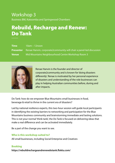### Workshop 3 Business BM, Katoomba and Springwood Chambers

### Rebuild, Recharge and Renew: Do Tank

**Time** 10am – 12noon **Presenter** Renae Hanvin, corporate2community will chair a panel-led discussion **Venue** Mid Mountains Neighbourhood Centre Workshop Room 3



Renae Hanvin is the founder and director of corporate2community and is known for 'doing disasters differently'. Renae is motivated by her personal experience of disasters and understanding of the role businesses can play in helping Australian communities before, during and after impacts.

Do Tank: how do we empower Blue Mountains small businesses in food, beverage & retail to thrive in the current era of disasters?

Led by national resilience experts, this two-hour session will guide local participants in identifying the existing barriers to networking and participation for the Blue Mountains business community and brainstorming immediate and lasting solutions. This is not your normal 'think tank', the Do Tank is focused on delivering ideas that make a real difference and can be activated immediately.

Be a part of the change you want to see.

### **Who is this workshop suited to?**

All small businesses, including Social Enterprise and Creatives

### **Booking**

**<https://rebuildrechargeandrenewdotank.floktu.com/>**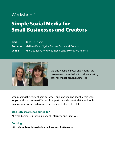### Workshop 4

## Simple Social Media for Small Businesses and Creators

**Time** 10.15 – 11.15am **Presenter** Mel Nassif and Ngaire Buckley, Focus and Flourish **Venue** Mid Mountains Neighbourhood Centre Workshop Room 1



Mel and Ngaire of Focus and Flourish are two women on a mission to make marketing easy for impact-driven businesses.

Stop running the content hamster wheel and start making social media work for you and your business! This workshop will provide practical tips and tools to make your social media more effective and feel less stressful.

### **Who is this workshop suited to?**

All small businesses, including Social Enterprise and Creatives

#### **Booking**

**<https://simplesocialmediaforsmallbusiness.floktu.com/>**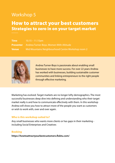### Workshop 5

### How to attract your best customers Strategies to zero in on your target market

| <b>Time</b>  | $10.15 - 11.15$ am                                       |
|--------------|----------------------------------------------------------|
|              | <b>Presenter</b> Andrea Turner-Boys, Women With Altitude |
| <b>Venue</b> | Mid Mountains Neighbourhood Centre Workshop room 2       |



Andrea Turner-Boys is passionate about enabling small businesses to have more success. For over 22 years Andrea has worked with businesses, building sustainable customer communities and linking entrepreneurs to the right people through effective marketing.

Marketing has evolved. Target markets are no longer lofty demographics. The most successful businesses deep dive into defining and understanding who their target market really is and how to communicate effectively with them. In this workshop Andrea will show you how to attract more of the people you want as customers or wish to work with, over and over again.

### **Who is this workshop suited to?**

Any small businesses who wants more clients or has gaps in their marketing including Social Enterprises and Creatives

### **Booking**

**<https://howtoattractyourbestcustomers.floktu.com/>**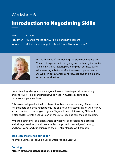# Workshop 6 Introduction to Negotiating Skills

| Time             | $1 - 2$ pm                                         |
|------------------|----------------------------------------------------|
| <b>Presenter</b> | Amanda Phillips of APA Training and Development    |
| Venue            | Mid Mountains Neighbourhood Centre Workshop room 1 |



Amanda Phillips of APA Training and Development has over 20 years of experience in designing and delivering innovative training in various sectors, partnering with business owners to increase organisational effectiveness and performance. She works in both Australia and New Zealand and is a highly respected local trainer.

Understanding what goes on in negotiations and how to participate ethically and effectively is a skill and insight we all need in multiple aspects of our business and personal lives.

This session will provide the first phase of tools and understanding of how to plan for, anticipate and close negotiations. The one-hour interactive session will give you an introduction to the longer program, Negotiation and Influencing Skills which is planned for later this year, as part of the BMCC Free Business training program.

While this course will be a brief sample of what will be covered and discussed in the longer session, you will leave with an improved knowledge of the why, and how to approach situations and the essential steps to work through.

### **Who is this workshop suited to?**

All small businesses, including Social Enterprise and Creatives

### **Booking <https://introductiontonegotiationskills.floktu.com/>**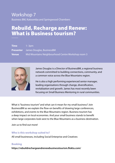### Workshop 7 Business BM, Katoomba and Springwood Chambers

### Rebuild, Recharge and Renew: What is Business tourism?

**Time** 1- 3pm **Presenter** James Douglas, BusinessBM **Venue** Mid Mountains Neighbourhood Centre Workshop room 3



James Douglas is a Director of BusinessBM, a regional business network committed to building connections, community, and a common voice across the Blue Mountains region.

He is also a high performing experienced senior manager, leading organisations through change, diversification, revitalization and growth. James has most recently been focusing on Small Business Mentoring in rural communities.

What is "business tourism" and what can it mean for my small business? Join BusinessBM as we explain the flow-on benefits of drawing large conferences, exhibitions, and events to the Blue Mountains region. Business tourism has a deep impact on local economies. And your small business stands to benefit when large corporates look west to the Blue Mountains as a business destination.

Join us to find out more!

### **Who is this workshop suited to?**

All small businesses, including Social Enterprise and Creatives

### **Booking**

**<https://rebuildrechargeandrenewbusinesstourism.floktu.com/>**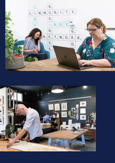